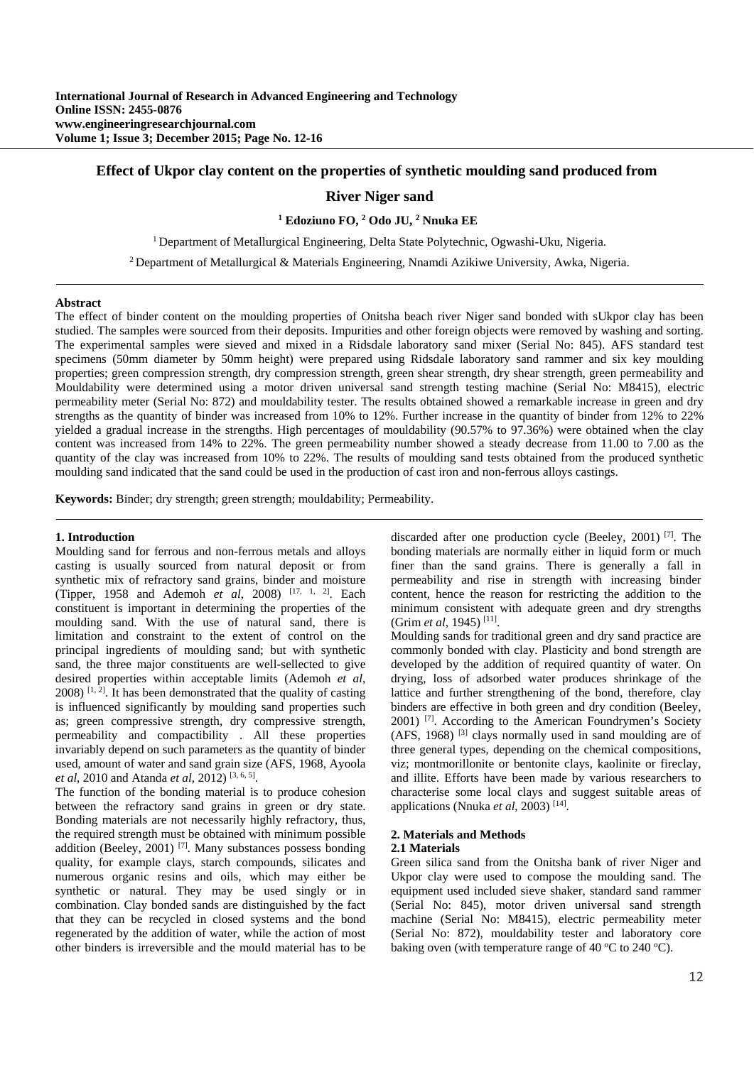# **Effect of Ukpor clay content on the properties of synthetic moulding sand produced from**

# **River Niger sand**

<sup>1</sup> Edoziuno FO, <sup>2</sup> Odo JU, <sup>2</sup> Nnuka EE

<sup>1</sup> Department of Metallurgical Engineering, Delta State Polytechnic, Ogwashi-Uku, Nigeria.

2 Department of Metallurgical & Materials Engineering, Nnamdi Azikiwe University, Awka, Nigeria.

#### **Abstract**

The effect of binder content on the moulding properties of Onitsha beach river Niger sand bonded with sUkpor clay has been studied. The samples were sourced from their deposits. Impurities and other foreign objects were removed by washing and sorting. The experimental samples were sieved and mixed in a Ridsdale laboratory sand mixer (Serial No: 845). AFS standard test specimens (50mm diameter by 50mm height) were prepared using Ridsdale laboratory sand rammer and six key moulding properties; green compression strength, dry compression strength, green shear strength, dry shear strength, green permeability and Mouldability were determined using a motor driven universal sand strength testing machine (Serial No: M8415), electric permeability meter (Serial No: 872) and mouldability tester. The results obtained showed a remarkable increase in green and dry strengths as the quantity of binder was increased from 10% to 12%. Further increase in the quantity of binder from 12% to 22% yielded a gradual increase in the strengths. High percentages of mouldability (90.57% to 97.36%) were obtained when the clay content was increased from 14% to 22%. The green permeability number showed a steady decrease from 11.00 to 7.00 as the quantity of the clay was increased from 10% to 22%. The results of moulding sand tests obtained from the produced synthetic moulding sand indicated that the sand could be used in the production of cast iron and non-ferrous alloys castings.

**Keywords:** Binder; dry strength; green strength; mouldability; Permeability.

## **1. Introduction**

Moulding sand for ferrous and non-ferrous metals and alloys casting is usually sourced from natural deposit or from synthetic mix of refractory sand grains, binder and moisture (Tipper, 1958 and Ademoh *et al*, 2008) [17, 1, 2]. Each constituent is important in determining the properties of the moulding sand. With the use of natural sand, there is limitation and constraint to the extent of control on the principal ingredients of moulding sand; but with synthetic sand, the three major constituents are well-sellected to give desired properties within acceptable limits (Ademoh *et al*,  $2008$ ) <sup>[1, 2</sup>]. It has been demonstrated that the quality of casting is influenced significantly by moulding sand properties such as; green compressive strength, dry compressive strength, permeability and compactibility . All these properties invariably depend on such parameters as the quantity of binder used, amount of water and sand grain size (AFS, 1968, Ayoola *et al*, 2010 and Atanda *et al*, 2012) [3, 6, 5].

The function of the bonding material is to produce cohesion between the refractory sand grains in green or dry state. Bonding materials are not necessarily highly refractory, thus, the required strength must be obtained with minimum possible addition (Beeley, 2001)<sup>[7]</sup>. Many substances possess bonding quality, for example clays, starch compounds, silicates and numerous organic resins and oils, which may either be synthetic or natural. They may be used singly or in combination. Clay bonded sands are distinguished by the fact that they can be recycled in closed systems and the bond regenerated by the addition of water, while the action of most other binders is irreversible and the mould material has to be

discarded after one production cycle (Beeley, 2001) [7]. The bonding materials are normally either in liquid form or much finer than the sand grains. There is generally a fall in permeability and rise in strength with increasing binder content, hence the reason for restricting the addition to the minimum consistent with adequate green and dry strengths (Grim *et al*, 1945) [11].

Moulding sands for traditional green and dry sand practice are commonly bonded with clay. Plasticity and bond strength are developed by the addition of required quantity of water. On drying, loss of adsorbed water produces shrinkage of the lattice and further strengthening of the bond, therefore, clay binders are effective in both green and dry condition (Beeley, 2001) [7]. According to the American Foundrymen's Society  $(AFS, 1968)$ <sup>[3]</sup> clays normally used in sand moulding are of three general types, depending on the chemical compositions, viz; montmorillonite or bentonite clays, kaolinite or fireclay, and illite. Efforts have been made by various researchers to characterise some local clays and suggest suitable areas of applications (Nnuka *et al*, 2003) [14].

## **2. Materials and Methods**

## **2.1 Materials**

Green silica sand from the Onitsha bank of river Niger and Ukpor clay were used to compose the moulding sand. The equipment used included sieve shaker, standard sand rammer (Serial No: 845), motor driven universal sand strength machine (Serial No: M8415), electric permeability meter (Serial No: 872), mouldability tester and laboratory core baking oven (with temperature range of 40  $\rm{°C}$  to 240  $\rm{°C}$ ).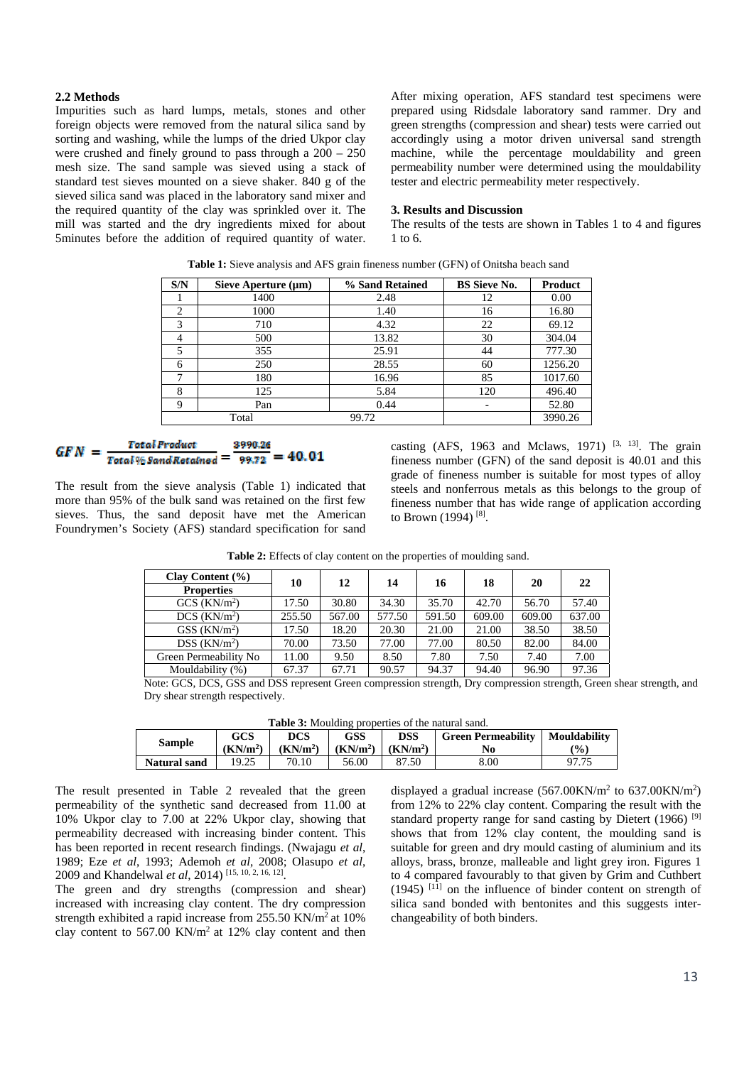### **2.2 Methods**

Impurities such as hard lumps, metals, stones and other foreign objects were removed from the natural silica sand by sorting and washing, while the lumps of the dried Ukpor clay were crushed and finely ground to pass through a 200 – 250 mesh size. The sand sample was sieved using a stack of standard test sieves mounted on a sieve shaker. 840 g of the sieved silica sand was placed in the laboratory sand mixer and the required quantity of the clay was sprinkled over it. The mill was started and the dry ingredients mixed for about 5minutes before the addition of required quantity of water. After mixing operation, AFS standard test specimens were prepared using Ridsdale laboratory sand rammer. Dry and green strengths (compression and shear) tests were carried out accordingly using a motor driven universal sand strength machine, while the percentage mouldability and green permeability number were determined using the mouldability tester and electric permeability meter respectively.

#### **3. Results and Discussion**

The results of the tests are shown in Tables 1 to 4 and figures 1 to 6.

| S/N | Sieve Aperture $(\mu m)$ | % Sand Retained | <b>BS</b> Sieve No. | <b>Product</b> |
|-----|--------------------------|-----------------|---------------------|----------------|
|     | 1400                     | 2.48            | 12                  | 0.00           |
| 2   | 1000                     | 1.40            | 16                  | 16.80          |
| 3   | 710                      | 4.32            | 22                  | 69.12          |
| 4   | 500                      | 13.82           | 30                  | 304.04         |
| 5   | 355                      | 25.91           | 44                  | 777.30         |
| 6   | 250                      | 28.55           | 60                  | 1256.20        |
|     | 180                      | 16.96           | 85                  | 1017.60        |
| 8   | 125                      | 5.84            | 120                 | 496.40         |
| 9   | Pan                      | 0.44            | -                   | 52.80          |
|     | Total                    | 99.72           |                     | 3990.26        |

**Table 1:** Sieve analysis and AFS grain fineness number (GFN) of Onitsha beach sand

#### **Total Product** 3990.26  $\overline{\text{Total }\%$  Sand Retained = 99.72 = 40.01

The result from the sieve analysis (Table 1) indicated that more than 95% of the bulk sand was retained on the first few sieves. Thus, the sand deposit have met the American Foundrymen's Society (AFS) standard specification for sand

casting (AFS, 1963 and Mclaws, 1971)  $[3, 13]$ . The grain fineness number (GFN) of the sand deposit is 40.01 and this grade of fineness number is suitable for most types of alloy steels and nonferrous metals as this belongs to the group of fineness number that has wide range of application according to Brown (1994) [8].

**Table 2:** Effects of clay content on the properties of moulding sand.

| Clay Content $(\% )$       | 10     | 12     | 14     | 16     | 18     | 20     | 22     |
|----------------------------|--------|--------|--------|--------|--------|--------|--------|
| <b>Properties</b>          |        |        |        |        |        |        |        |
| GCS (KN/m <sup>2</sup> )   | 17.50  | 30.80  | 34.30  | 35.70  | 42.70  | 56.70  | 57.40  |
| $DCS$ ( $KN/m2$ )          | 255.50 | 567.00 | 577.50 | 591.50 | 609.00 | 609.00 | 637.00 |
| GSS (KN/m <sup>2</sup> )   | 17.50  | 18.20  | 20.30  | 21.00  | 21.00  | 38.50  | 38.50  |
| $DSS$ (KN/m <sup>2</sup> ) | 70.00  | 73.50  | 77.00  | 77.00  | 80.50  | 82.00  | 84.00  |
| Green Permeability No      | 11.00  | 9.50   | 8.50   | 7.80   | 7.50   | 7.40   | 7.00   |
| Mouldability (%)           | 67.37  | 67.71  | 90.57  | 94.37  | 94.40  | 96.90  | 97.36  |

Note: GCS, DCS, GSS and DSS represent Green compression strength, Dry compression strength, Green shear strength, and Dry shear strength respectively.

| <b>Table 3:</b> Moulding properties of the natural sand. |  |
|----------------------------------------------------------|--|
|----------------------------------------------------------|--|

| <b>Sample</b>       | GCS                  | <b>DCS</b>           | GSS                  | <b>DSS</b>           | <b>Green Permeability</b> | <b>Mouldability</b> |
|---------------------|----------------------|----------------------|----------------------|----------------------|---------------------------|---------------------|
|                     | (KN/m <sup>2</sup> ) | (KN/m <sup>2</sup> ) | (KN/m <sup>2</sup> ) | (KN/m <sup>2</sup> ) | No                        | $\frac{1}{2}$       |
| <b>Natural sand</b> | 19.25                | 70.10                | 56.00                | 87.50                | 8.00                      | 97.75               |

The result presented in Table 2 revealed that the green permeability of the synthetic sand decreased from 11.00 at 10% Ukpor clay to 7.00 at 22% Ukpor clay, showing that permeability decreased with increasing binder content. This has been reported in recent research findings. (Nwajagu *et al*, 1989; Eze *et al*, 1993; Ademoh *et al*, 2008; Olasupo *et al*, 2009 and Khandelwal *et al*, 2014) [15, 10, 2, 16, 12].

The green and dry strengths (compression and shear) increased with increasing clay content. The dry compression strength exhibited a rapid increase from 255.50 KN/m2 at 10% clay content to 567.00 KN/m2 at 12% clay content and then

displayed a gradual increase  $(567.00 \text{KN/m}^2)$  to  $637.00 \text{KN/m}^2$ ) from 12% to 22% clay content. Comparing the result with the standard property range for sand casting by Dietert (1966)<sup>[9]</sup> shows that from 12% clay content, the moulding sand is suitable for green and dry mould casting of aluminium and its alloys, brass, bronze, malleable and light grey iron. Figures 1 to 4 compared favourably to that given by Grim and Cuthbert (1945) [11] on the influence of binder content on strength of silica sand bonded with bentonites and this suggests interchangeability of both binders.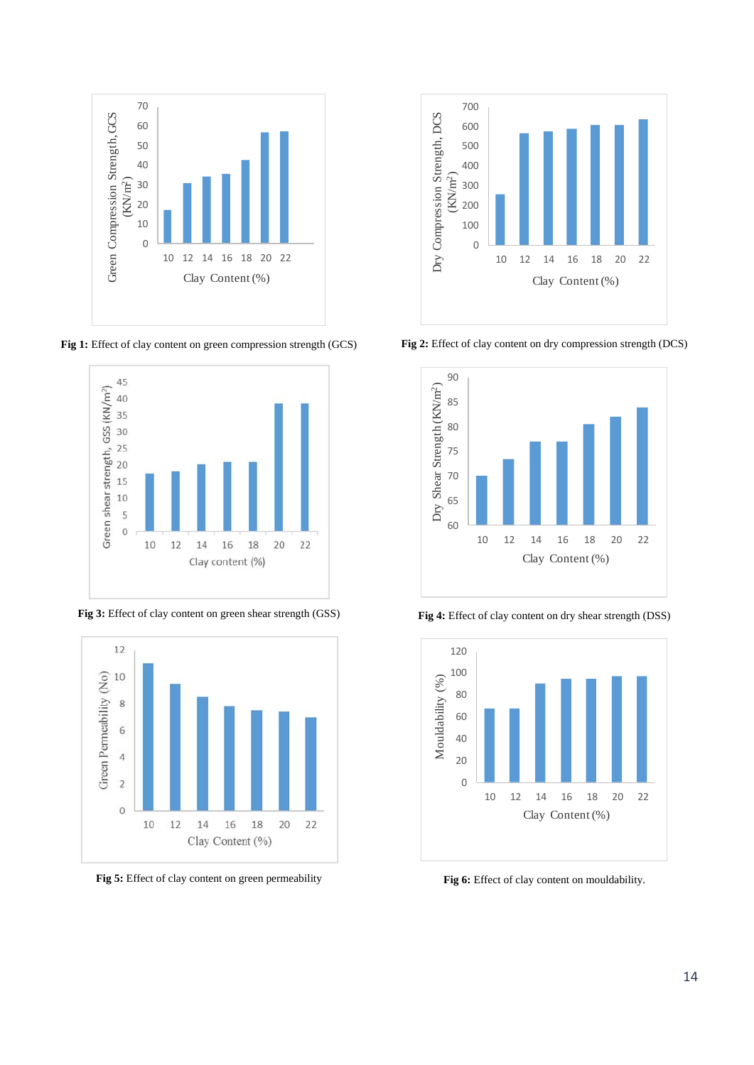

Fig 1: Effect of clay content on green compression strength (GCS)



**Fig 3:** Effect of clay content on green shear strength (GSS)



**Fig 5:** Effect of clay content on green permeability



**Fig 2:** Effect of clay content on dry compression strength (DCS)



**Fig 4:** Effect of clay content on dry shear strength (DSS)



Fig 6: Effect of clay content on mouldability.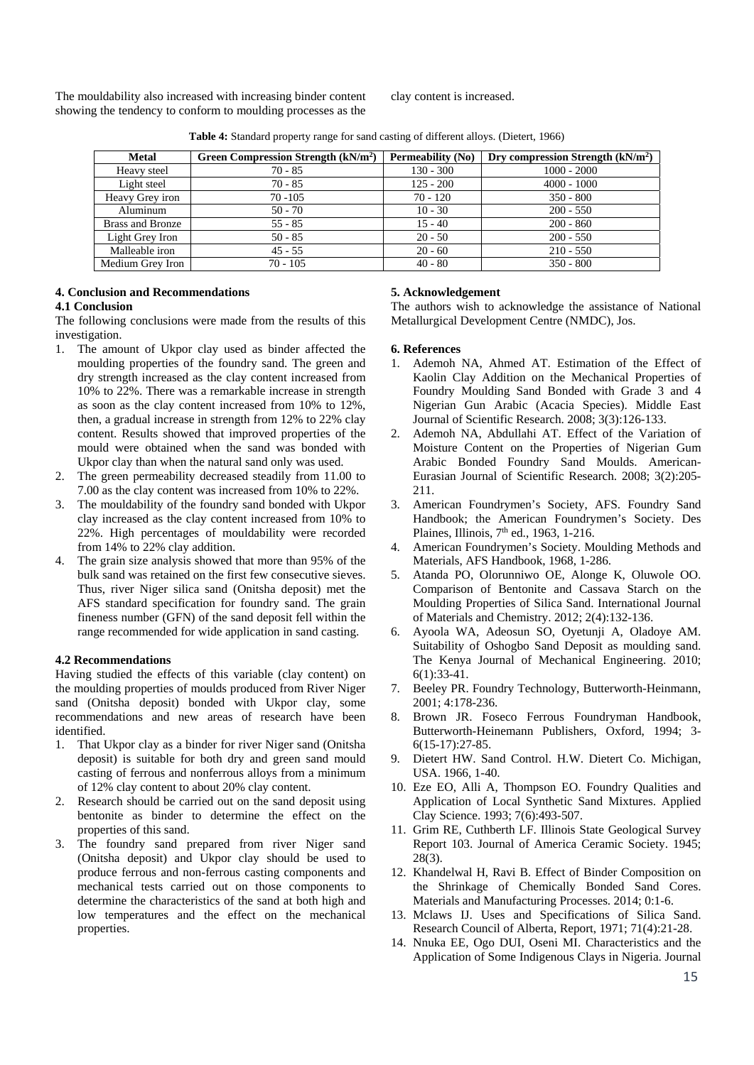The mouldability also increased with increasing binder content showing the tendency to conform to moulding processes as the

clay content is increased.

| <b>Metal</b>     | Green Compression Strength (kN/m <sup>2</sup> ) | Permeability (No) | Dry compression Strength $(kN/m2)$ |
|------------------|-------------------------------------------------|-------------------|------------------------------------|
| Heavy steel      | $70 - 85$                                       | $130 - 300$       | $1000 - 2000$                      |
| Light steel      | $70 - 85$                                       | $125 - 200$       | $4000 - 1000$                      |
| Heavy Grey iron  | $70 - 105$                                      | $70 - 120$        | $350 - 800$                        |
| Aluminum         | $50 - 70$                                       | $10 - 30$         | $200 - 550$                        |
| Brass and Bronze | $55 - 85$                                       | $15 - 40$         | $200 - 860$                        |
| Light Grey Iron  | $50 - 85$                                       | $20 - 50$         | $200 - 550$                        |
| Malleable iron   | $45 - 55$                                       | $20 - 60$         | $210 - 550$                        |
| Medium Grey Iron | $70 - 105$                                      | $40 - 80$         | $350 - 800$                        |

**Table 4:** Standard property range for sand casting of different alloys. (Dietert, 1966)

# **4. Conclusion and Recommendations**

## **4.1 Conclusion**

The following conclusions were made from the results of this investigation.

- 1. The amount of Ukpor clay used as binder affected the moulding properties of the foundry sand. The green and dry strength increased as the clay content increased from 10% to 22%. There was a remarkable increase in strength as soon as the clay content increased from 10% to 12%, then, a gradual increase in strength from 12% to 22% clay content. Results showed that improved properties of the mould were obtained when the sand was bonded with Ukpor clay than when the natural sand only was used.
- 2. The green permeability decreased steadily from 11.00 to 7.00 as the clay content was increased from 10% to 22%.
- 3. The mouldability of the foundry sand bonded with Ukpor clay increased as the clay content increased from 10% to 22%. High percentages of mouldability were recorded from 14% to 22% clay addition.
- 4. The grain size analysis showed that more than 95% of the bulk sand was retained on the first few consecutive sieves. Thus, river Niger silica sand (Onitsha deposit) met the AFS standard specification for foundry sand. The grain fineness number (GFN) of the sand deposit fell within the range recommended for wide application in sand casting.

# **4.2 Recommendations**

Having studied the effects of this variable (clay content) on the moulding properties of moulds produced from River Niger sand (Onitsha deposit) bonded with Ukpor clay, some recommendations and new areas of research have been identified.

- 1. That Ukpor clay as a binder for river Niger sand (Onitsha deposit) is suitable for both dry and green sand mould casting of ferrous and nonferrous alloys from a minimum of 12% clay content to about 20% clay content.
- 2. Research should be carried out on the sand deposit using bentonite as binder to determine the effect on the properties of this sand.
- 3. The foundry sand prepared from river Niger sand (Onitsha deposit) and Ukpor clay should be used to produce ferrous and non-ferrous casting components and mechanical tests carried out on those components to determine the characteristics of the sand at both high and low temperatures and the effect on the mechanical properties.

# **5. Acknowledgement**

The authors wish to acknowledge the assistance of National Metallurgical Development Centre (NMDC), Jos.

## **6. References**

- 1. Ademoh NA, Ahmed AT. Estimation of the Effect of Kaolin Clay Addition on the Mechanical Properties of Foundry Moulding Sand Bonded with Grade 3 and 4 Nigerian Gun Arabic (Acacia Species). Middle East Journal of Scientific Research. 2008; 3(3):126-133.
- 2. Ademoh NA, Abdullahi AT. Effect of the Variation of Moisture Content on the Properties of Nigerian Gum Arabic Bonded Foundry Sand Moulds. American-Eurasian Journal of Scientific Research. 2008; 3(2):205- 211.
- 3. American Foundrymen's Society, AFS. Foundry Sand Handbook; the American Foundrymen's Society. Des Plaines, Illinois, 7<sup>th</sup> ed., 1963, 1-216.
- 4. American Foundrymen's Society. Moulding Methods and Materials, AFS Handbook, 1968, 1-286.
- 5. Atanda PO, Olorunniwo OE, Alonge K, Oluwole OO. Comparison of Bentonite and Cassava Starch on the Moulding Properties of Silica Sand. International Journal of Materials and Chemistry. 2012; 2(4):132-136.
- 6. Ayoola WA, Adeosun SO, Oyetunji A, Oladoye AM. Suitability of Oshogbo Sand Deposit as moulding sand. The Kenya Journal of Mechanical Engineering. 2010; 6(1):33-41.
- 7. Beeley PR. Foundry Technology, Butterworth-Heinmann, 2001; 4:178-236.
- 8. Brown JR. Foseco Ferrous Foundryman Handbook, Butterworth-Heinemann Publishers, Oxford, 1994; 3- 6(15-17):27-85.
- 9. Dietert HW. Sand Control. H.W. Dietert Co. Michigan, USA. 1966, 1-40.
- 10. Eze EO, Alli A, Thompson EO. Foundry Qualities and Application of Local Synthetic Sand Mixtures. Applied Clay Science. 1993; 7(6):493-507.
- 11. Grim RE, Cuthberth LF. Illinois State Geological Survey Report 103. Journal of America Ceramic Society. 1945; 28(3).
- 12. Khandelwal H, Ravi B. Effect of Binder Composition on the Shrinkage of Chemically Bonded Sand Cores. Materials and Manufacturing Processes. 2014; 0:1-6.
- 13. Mclaws IJ. Uses and Specifications of Silica Sand. Research Council of Alberta, Report, 1971; 71(4):21-28.
- 14. Nnuka EE, Ogo DUI, Oseni MI. Characteristics and the Application of Some Indigenous Clays in Nigeria. Journal